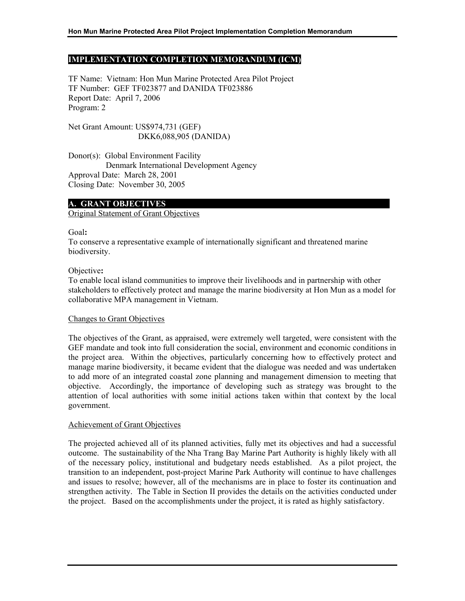## **IMPLEMENTATION COMPLETION MEMORANDUM (ICM)**

TF Name: Vietnam: Hon Mun Marine Protected Area Pilot Project TF Number: GEF TF023877 and DANIDA TF023886 Report Date: April 7, 2006 Program: 2

Net Grant Amount: US\$974,731 (GEF) DKK6,088,905 (DANIDA)

Donor(s): Global Environment Facility Denmark International Development Agency Approval Date: March 28, 2001 Closing Date: November 30, 2005

#### **A. GRANT OBJECTIVES**

#### Original Statement of Grant Objectives

Goal**:** 

To conserve a representative example of internationally significant and threatened marine biodiversity.

Objective**:** 

To enable local island communities to improve their livelihoods and in partnership with other stakeholders to effectively protect and manage the marine biodiversity at Hon Mun as a model for collaborative MPA management in Vietnam.

#### Changes to Grant Objectives

The objectives of the Grant, as appraised, were extremely well targeted, were consistent with the GEF mandate and took into full consideration the social, environment and economic conditions in the project area. Within the objectives, particularly concerning how to effectively protect and manage marine biodiversity, it became evident that the dialogue was needed and was undertaken to add more of an integrated coastal zone planning and management dimension to meeting that objective. Accordingly, the importance of developing such as strategy was brought to the attention of local authorities with some initial actions taken within that context by the local government.

#### Achievement of Grant Objectives

The projected achieved all of its planned activities, fully met its objectives and had a successful outcome. The sustainability of the Nha Trang Bay Marine Part Authority is highly likely with all of the necessary policy, institutional and budgetary needs established. As a pilot project, the transition to an independent, post-project Marine Park Authority will continue to have challenges and issues to resolve; however, all of the mechanisms are in place to foster its continuation and strengthen activity. The Table in Section II provides the details on the activities conducted under the project. Based on the accomplishments under the project, it is rated as highly satisfactory.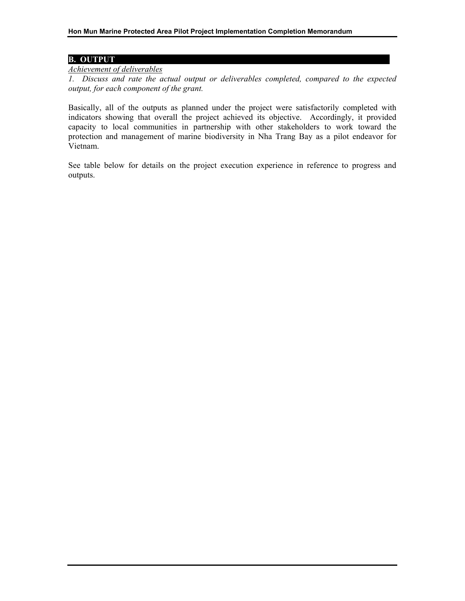# **B. OUTPUT**

# *Achievement of deliverables*

*1. Discuss and rate the actual output or deliverables completed, compared to the expected output, for each component of the grant.*

Basically, all of the outputs as planned under the project were satisfactorily completed with indicators showing that overall the project achieved its objective. Accordingly, it provided capacity to local communities in partnership with other stakeholders to work toward the protection and management of marine biodiversity in Nha Trang Bay as a pilot endeavor for Vietnam.

See table below for details on the project execution experience in reference to progress and outputs.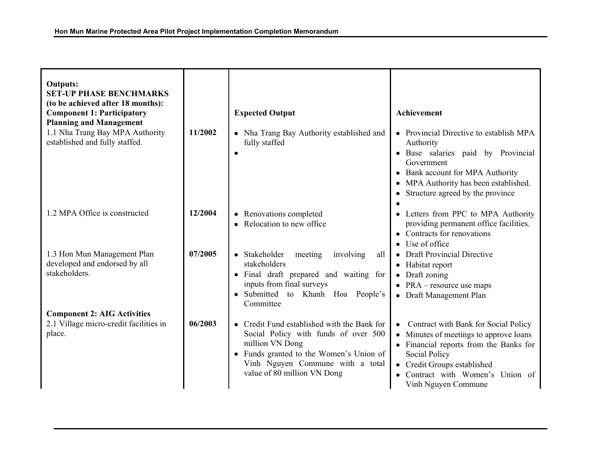| <b>Outputs:</b><br><b>SET-UP PHASE BENCHMARKS</b><br>(to be achieved after 18 months):<br><b>Component 1: Participatory</b><br><b>Planning and Management</b> |         | <b>Expected Output</b>                                                                                                                                                                                               | <b>Achievement</b>                                                                                                                                                                                                              |
|---------------------------------------------------------------------------------------------------------------------------------------------------------------|---------|----------------------------------------------------------------------------------------------------------------------------------------------------------------------------------------------------------------------|---------------------------------------------------------------------------------------------------------------------------------------------------------------------------------------------------------------------------------|
| 1.1 Nha Trang Bay MPA Authority<br>established and fully staffed.                                                                                             | 11/2002 | • Nha Trang Bay Authority established and<br>fully staffed                                                                                                                                                           | • Provincial Directive to establish MPA<br>Authority<br>· Base salaries paid by Provincial<br>Government<br>• Bank account for MPA Authority<br>MPA Authority has been established.<br>٠<br>Structure agreed by the province    |
| 1.2 MPA Office is constructed                                                                                                                                 | 12/2004 | • Renovations completed<br>• Relocation to new office                                                                                                                                                                | • Letters from PPC to MPA Authority<br>providing permanent office facilities.<br>• Contracts for renovations<br>• Use of office                                                                                                 |
| 1.3 Hon Mun Management Plan<br>developed and endorsed by all<br>stakeholders.                                                                                 | 07/2005 | • Stakeholder<br>involving<br>meeting<br>all<br>stakeholders<br>· Final draft prepared and waiting for<br>inputs from final surveys<br>· Submitted to Khanh Hoa People's<br>Committee                                | <b>Draft Provincial Directive</b><br>Habitat report<br>$\bullet$<br>Draft zoning<br>$\bullet$<br>• $PRA$ – resource use maps<br>• Draft Management Plan                                                                         |
| <b>Component 2: AIG Activities</b>                                                                                                                            |         |                                                                                                                                                                                                                      |                                                                                                                                                                                                                                 |
| 2.1 Village micro-credit facilities in<br>place.                                                                                                              | 06/2003 | • Credit Fund established with the Bank for<br>Social Policy with funds of over 500<br>million VN Dong<br>• Funds granted to the Women's Union of<br>Vinh Nguyen Commune with a total<br>value of 80 million VN Dong | Contract with Bank for Social Policy<br>Minutes of meetings to approve loans<br>• Financial reports from the Banks for<br>Social Policy<br>• Credit Groups established<br>Contract with Women's Union of<br>Vinh Nguyen Commune |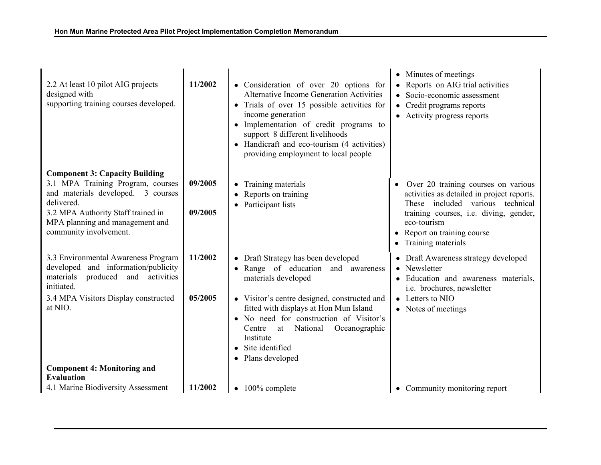|                                                                                                                                  |         |                                                                                                                                                                                                                                                                                                                                   | • Minutes of meetings                                                                                                                 |
|----------------------------------------------------------------------------------------------------------------------------------|---------|-----------------------------------------------------------------------------------------------------------------------------------------------------------------------------------------------------------------------------------------------------------------------------------------------------------------------------------|---------------------------------------------------------------------------------------------------------------------------------------|
| 2.2 At least 10 pilot AIG projects<br>designed with<br>supporting training courses developed.                                    | 11/2002 | • Consideration of over 20 options for<br><b>Alternative Income Generation Activities</b><br>• Trials of over 15 possible activities for<br>income generation<br>• Implementation of credit programs to<br>support 8 different livelihoods<br>• Handicraft and eco-tourism (4 activities)<br>providing employment to local people | Reports on AIG trial activities<br>$\bullet$<br>Socio-economic assessment<br>• Credit programs reports<br>• Activity progress reports |
| <b>Component 3: Capacity Building</b>                                                                                            |         |                                                                                                                                                                                                                                                                                                                                   |                                                                                                                                       |
| 3.1 MPA Training Program, courses<br>and materials developed. 3 courses<br>delivered.                                            | 09/2005 | Training materials<br>٠<br>Reports on training<br>Participant lists<br>٠                                                                                                                                                                                                                                                          | Over 20 training courses on various<br>$\bullet$<br>activities as detailed in project reports.<br>These included various technical    |
| 3.2 MPA Authority Staff trained in<br>MPA planning and management and<br>community involvement.                                  | 09/2005 |                                                                                                                                                                                                                                                                                                                                   | training courses, i.e. diving, gender,<br>eco-tourism<br>Report on training course<br>٠<br>Training materials<br>٠                    |
| 3.3 Environmental Awareness Program<br>developed and information/publicity<br>produced and activities<br>materials<br>initiated. | 11/2002 | • Draft Strategy has been developed<br>Range of education and awareness<br>$\bullet$<br>materials developed                                                                                                                                                                                                                       | • Draft Awareness strategy developed<br>Newsletter<br>• Education and awareness materials,<br>i.e. brochures, newsletter              |
| 3.4 MPA Visitors Display constructed<br>at NIO.                                                                                  | 05/2005 | • Visitor's centre designed, constructed and<br>fitted with displays at Hon Mun Island<br>• No need for construction of Visitor's<br>at National<br>Oceanographic<br>Centre<br>Institute<br>Site identified<br>$\bullet$<br>Plans developed                                                                                       | • Letters to NIO<br>• Notes of meetings                                                                                               |
| <b>Component 4: Monitoring and</b>                                                                                               |         |                                                                                                                                                                                                                                                                                                                                   |                                                                                                                                       |
| <b>Evaluation</b>                                                                                                                |         |                                                                                                                                                                                                                                                                                                                                   |                                                                                                                                       |
| 4.1 Marine Biodiversity Assessment                                                                                               | 11/2002 | 100% complete<br>$\bullet$                                                                                                                                                                                                                                                                                                        | • Community monitoring report                                                                                                         |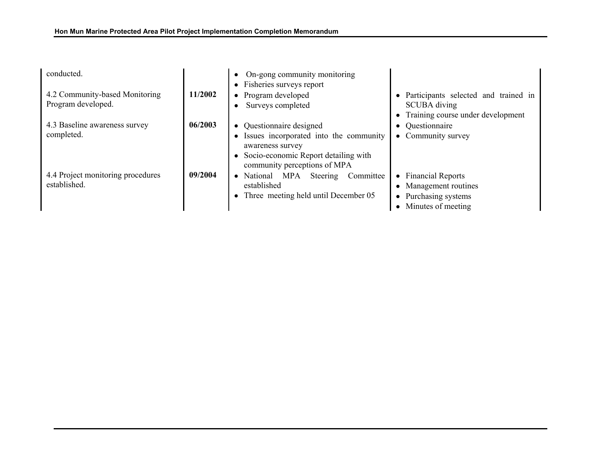| conducted.                                           |         | On-gong community monitoring<br>$\bullet$<br>• Fisheries surveys report                                                                                                          |                                                                                                                 |
|------------------------------------------------------|---------|----------------------------------------------------------------------------------------------------------------------------------------------------------------------------------|-----------------------------------------------------------------------------------------------------------------|
| 4.2 Community-based Monitoring<br>Program developed. | 11/2002 | • Program developed<br>Surveys completed<br>٠                                                                                                                                    | • Participants selected and trained in<br><b>SCUBA</b> diving<br>Training course under development<br>$\bullet$ |
| 4.3 Baseline awareness survey<br>completed.          | 06/2003 | • Questionnaire designed<br>Issues incorporated into the community<br>$\bullet$<br>awareness survey<br>Socio-economic Report detailing with<br>٠<br>community perceptions of MPA | • Questionnaire<br>• Community survey                                                                           |
| 4.4 Project monitoring procedures<br>established.    | 09/2004 | • National MPA<br>Committee<br>Steering<br>established<br>• Three meeting held until December 05                                                                                 | • Financial Reports<br>• Management routines<br>Purchasing systems<br>$\bullet$<br>• Minutes of meeting         |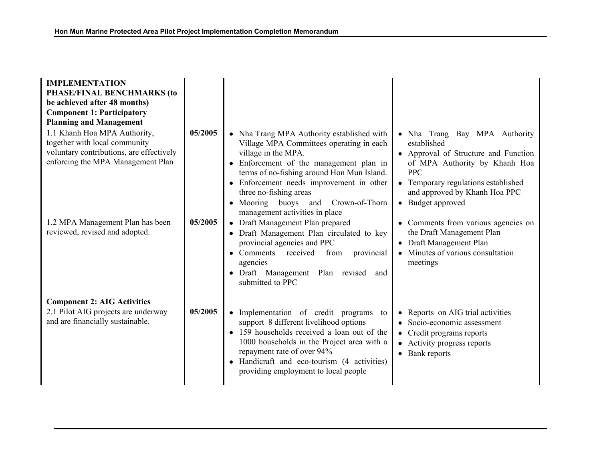| <b>IMPLEMENTATION</b><br>PHASE/FINAL BENCHMARKS (to<br>be achieved after 48 months)<br><b>Component 1: Participatory</b><br><b>Planning and Management</b><br>1.1 Khanh Hoa MPA Authority,<br>together with local community<br>voluntary contributions, are effectively<br>enforcing the MPA Management Plan | 05/2005 | • Nha Trang MPA Authority established with<br>Village MPA Committees operating in each<br>village in the MPA.<br>• Enforcement of the management plan in                                                                      | Nha Trang Bay MPA Authority<br>established<br>• Approval of Structure and Function<br>of MPA Authority by Khanh Hoa                                         |
|--------------------------------------------------------------------------------------------------------------------------------------------------------------------------------------------------------------------------------------------------------------------------------------------------------------|---------|-------------------------------------------------------------------------------------------------------------------------------------------------------------------------------------------------------------------------------|-------------------------------------------------------------------------------------------------------------------------------------------------------------|
|                                                                                                                                                                                                                                                                                                              |         | terms of no-fishing around Hon Mun Island.<br>• Enforcement needs improvement in other<br>three no-fishing areas<br>• Mooring buoys and Crown-of-Thorn<br>management activities in place                                      | <b>PPC</b><br>• Temporary regulations established<br>and approved by Khanh Hoa PPC<br>• Budget approved                                                     |
| 1.2 MPA Management Plan has been<br>reviewed, revised and adopted.                                                                                                                                                                                                                                           | 05/2005 | • Draft Management Plan prepared<br>• Draft Management Plan circulated to key<br>provincial agencies and PPC<br>• Comments received from<br>provincial<br>agencies<br>• Draft Management Plan revised and<br>submitted to PPC | Comments from various agencies on<br>the Draft Management Plan<br>• Draft Management Plan<br>• Minutes of various consultation<br>meetings                  |
| <b>Component 2: AIG Activities</b><br>2.1 Pilot AIG projects are underway<br>and are financially sustainable.                                                                                                                                                                                                | 05/2005 | • Implementation of credit programs<br>to<br>support 8 different livelihood options<br>• 159 households received a loan out of the<br>1000 households in the Project area with a                                              | Reports on AIG trial activities<br>Socio-economic assessment<br>$\bullet$<br>Credit programs reports<br>$\bullet$<br>Activity progress reports<br>$\bullet$ |
|                                                                                                                                                                                                                                                                                                              |         | repayment rate of over 94%<br>• Handicraft and eco-tourism (4 activities)<br>providing employment to local people                                                                                                             | • Bank reports                                                                                                                                              |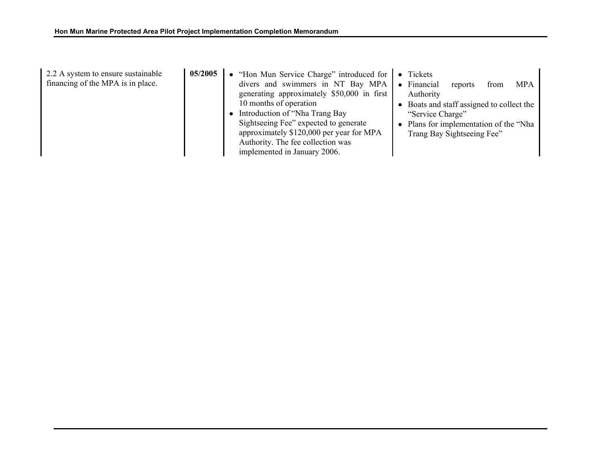| 2.2 A system to ensure sustainable<br>financing of the MPA is in place. | 05/2005 | • "Hon Mun Service Charge" introduced for<br>divers and swimmers in NT Bay MPA<br>generating approximately \$50,000 in first<br>10 months of operation<br>Introduction of "Nha Trang Bay | Tickets<br>Financial<br><b>MPA</b><br>reports<br>$\bullet$<br>from<br>Authority<br>Boats and staff assigned to collect the<br>"Service Charge" |
|-------------------------------------------------------------------------|---------|------------------------------------------------------------------------------------------------------------------------------------------------------------------------------------------|------------------------------------------------------------------------------------------------------------------------------------------------|
|                                                                         |         | Sightseeing Fee" expected to generate<br>approximately \$120,000 per year for MPA<br>Authority. The fee collection was<br>implemented in January 2006.                                   | Plans for implementation of the "Nha<br>Trang Bay Sightseeing Fee"                                                                             |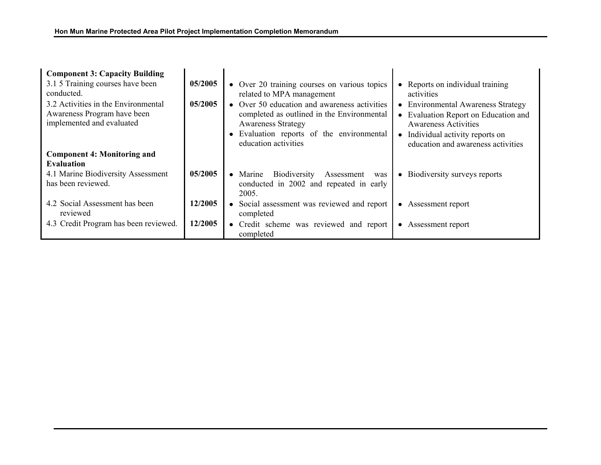| <b>Component 3: Capacity Building</b>                                                           |         |                                                                                                                                                                                              |                                                                                                                                                                                          |
|-------------------------------------------------------------------------------------------------|---------|----------------------------------------------------------------------------------------------------------------------------------------------------------------------------------------------|------------------------------------------------------------------------------------------------------------------------------------------------------------------------------------------|
| 3.1 5 Training courses have been<br>conducted.                                                  | 05/2005 | • Over 20 training courses on various topics<br>related to MPA management                                                                                                                    | • Reports on individual training<br>activities                                                                                                                                           |
| 3.2 Activities in the Environmental<br>Awareness Program have been<br>implemented and evaluated | 05/2005 | • Over 50 education and awareness activities<br>completed as outlined in the Environmental<br><b>Awareness Strategy</b><br>• Evaluation reports of the environmental<br>education activities | <b>Environmental Awareness Strategy</b><br>• Evaluation Report on Education and<br><b>Awareness Activities</b><br>• Individual activity reports on<br>education and awareness activities |
| <b>Component 4: Monitoring and</b><br><b>Evaluation</b>                                         |         |                                                                                                                                                                                              |                                                                                                                                                                                          |
| 4.1 Marine Biodiversity Assessment<br>has been reviewed.                                        | 05/2005 | • Marine<br>Biodiversity<br>Assessment<br>was<br>conducted in 2002 and repeated in early<br>2005.                                                                                            | • Biodiversity surveys reports                                                                                                                                                           |
| 4.2 Social Assessment has been<br>reviewed                                                      | 12/2005 | • Social assessment was reviewed and report<br>completed                                                                                                                                     | Assessment report                                                                                                                                                                        |
| 4.3 Credit Program has been reviewed.                                                           | 12/2005 | • Credit scheme was reviewed and report<br>completed                                                                                                                                         | • Assessment report                                                                                                                                                                      |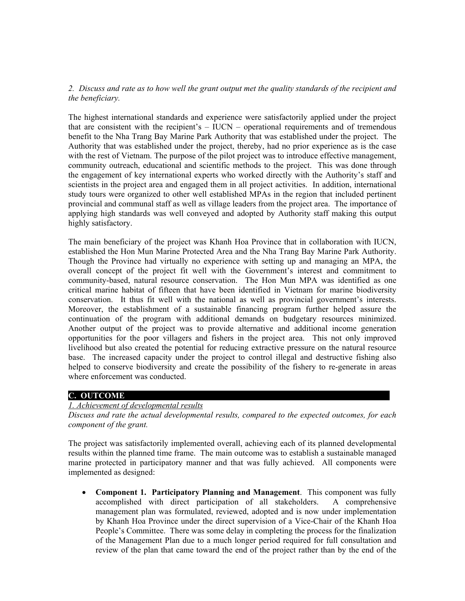## *2. Discuss and rate as to how well the grant output met the quality standards of the recipient and the beneficiary.*

The highest international standards and experience were satisfactorily applied under the project that are consistent with the recipient's  $-$  IUCN – operational requirements and of tremendous benefit to the Nha Trang Bay Marine Park Authority that was established under the project. The Authority that was established under the project, thereby, had no prior experience as is the case with the rest of Vietnam. The purpose of the pilot project was to introduce effective management, community outreach, educational and scientific methods to the project. This was done through the engagement of key international experts who worked directly with the Authority's staff and scientists in the project area and engaged them in all project activities. In addition, international study tours were organized to other well established MPAs in the region that included pertinent provincial and communal staff as well as village leaders from the project area. The importance of applying high standards was well conveyed and adopted by Authority staff making this output highly satisfactory.

The main beneficiary of the project was Khanh Hoa Province that in collaboration with IUCN, established the Hon Mun Marine Protected Area and the Nha Trang Bay Marine Park Authority. Though the Province had virtually no experience with setting up and managing an MPA, the overall concept of the project fit well with the Government's interest and commitment to community-based, natural resource conservation. The Hon Mun MPA was identified as one critical marine habitat of fifteen that have been identified in Vietnam for marine biodiversity conservation. It thus fit well with the national as well as provincial government's interests. Moreover, the establishment of a sustainable financing program further helped assure the continuation of the program with additional demands on budgetary resources minimized. Another output of the project was to provide alternative and additional income generation opportunities for the poor villagers and fishers in the project area. This not only improved livelihood but also created the potential for reducing extractive pressure on the natural resource base. The increased capacity under the project to control illegal and destructive fishing also helped to conserve biodiversity and create the possibility of the fishery to re-generate in areas where enforcement was conducted.

## **C. OUTCOME**

#### *1. Achievement of developmental results*

*Discuss and rate the actual developmental results, compared to the expected outcomes, for each component of the grant.*

The project was satisfactorily implemented overall, achieving each of its planned developmental results within the planned time frame. The main outcome was to establish a sustainable managed marine protected in participatory manner and that was fully achieved. All components were implemented as designed:

• **Component 1. Participatory Planning and Management**. This component was fully accomplished with direct participation of all stakeholders. A comprehensive management plan was formulated, reviewed, adopted and is now under implementation by Khanh Hoa Province under the direct supervision of a Vice-Chair of the Khanh Hoa People's Committee. There was some delay in completing the process for the finalization of the Management Plan due to a much longer period required for full consultation and review of the plan that came toward the end of the project rather than by the end of the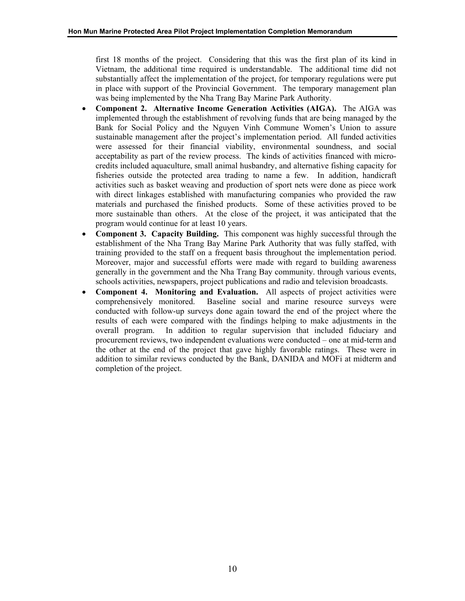first 18 months of the project. Considering that this was the first plan of its kind in Vietnam, the additional time required is understandable. The additional time did not substantially affect the implementation of the project, for temporary regulations were put in place with support of the Provincial Government. The temporary management plan was being implemented by the Nha Trang Bay Marine Park Authority.

- **Component 2. Alternative Income Generation Activities (AIGA).** The AIGA was implemented through the establishment of revolving funds that are being managed by the Bank for Social Policy and the Nguyen Vinh Commune Women's Union to assure sustainable management after the project's implementation period. All funded activities were assessed for their financial viability, environmental soundness, and social acceptability as part of the review process. The kinds of activities financed with microcredits included aquaculture, small animal husbandry, and alternative fishing capacity for fisheries outside the protected area trading to name a few. In addition, handicraft activities such as basket weaving and production of sport nets were done as piece work with direct linkages established with manufacturing companies who provided the raw materials and purchased the finished products. Some of these activities proved to be more sustainable than others. At the close of the project, it was anticipated that the program would continue for at least 10 years.
- **Component 3. Capacity Building.** This component was highly successful through the establishment of the Nha Trang Bay Marine Park Authority that was fully staffed, with training provided to the staff on a frequent basis throughout the implementation period. Moreover, major and successful efforts were made with regard to building awareness generally in the government and the Nha Trang Bay community. through various events, schools activities, newspapers, project publications and radio and television broadcasts.
- **Component 4. Monitoring and Evaluation.** All aspects of project activities were comprehensively monitored. Baseline social and marine resource surveys were conducted with follow-up surveys done again toward the end of the project where the results of each were compared with the findings helping to make adjustments in the overall program. In addition to regular supervision that included fiduciary and procurement reviews, two independent evaluations were conducted – one at mid-term and the other at the end of the project that gave highly favorable ratings. These were in addition to similar reviews conducted by the Bank, DANIDA and MOFi at midterm and completion of the project.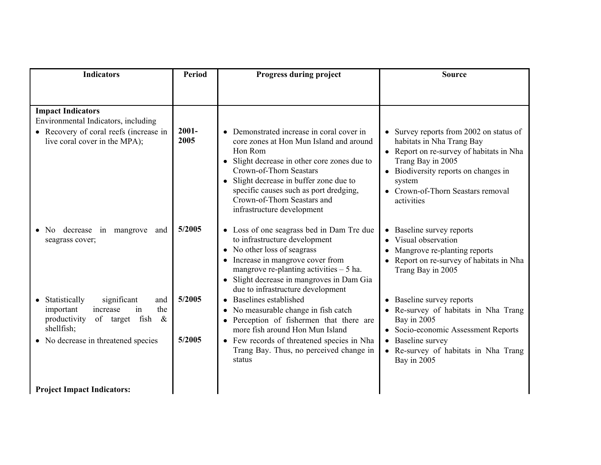| <b>Indicators</b>                                                                                                           | <b>Period</b>    | Progress during project                                                                                                                                                                                                                                                                                                      | <b>Source</b>                                                                                                                                                                                                                              |
|-----------------------------------------------------------------------------------------------------------------------------|------------------|------------------------------------------------------------------------------------------------------------------------------------------------------------------------------------------------------------------------------------------------------------------------------------------------------------------------------|--------------------------------------------------------------------------------------------------------------------------------------------------------------------------------------------------------------------------------------------|
|                                                                                                                             |                  |                                                                                                                                                                                                                                                                                                                              |                                                                                                                                                                                                                                            |
| <b>Impact Indicators</b><br>Environmental Indicators, including                                                             |                  |                                                                                                                                                                                                                                                                                                                              |                                                                                                                                                                                                                                            |
| • Recovery of coral reefs (increase in<br>live coral cover in the MPA);                                                     | $2001 -$<br>2005 | • Demonstrated increase in coral cover in<br>core zones at Hon Mun Island and around<br>Hon Rom<br>• Slight decrease in other core zones due to<br>Crown-of-Thorn Seastars<br>• Slight decrease in buffer zone due to<br>specific causes such as port dredging,<br>Crown-of-Thorn Seastars and<br>infrastructure development | • Survey reports from 2002 on status of<br>habitats in Nha Trang Bay<br>• Report on re-survey of habitats in Nha<br>Trang Bay in 2005<br>• Biodiversity reports on changes in<br>system<br>• Crown-of-Thorn Seastars removal<br>activities |
| decrease in mangrove<br>and<br>No No<br>seagrass cover;                                                                     | 5/2005           | • Loss of one seagrass bed in Dam Tre due<br>to infrastructure development<br>• No other loss of seagrass<br>• Increase in mangrove cover from<br>mangrove re-planting activities $-5$ ha.<br>· Slight decrease in mangroves in Dam Gia<br>due to infrastructure development                                                 | Baseline survey reports<br>Visual observation<br>$\bullet$<br>Mangrove re-planting reports<br>$\bullet$<br>Report on re-survey of habitats in Nha<br>$\bullet$<br>Trang Bay in 2005                                                        |
| significant<br>Statistically<br>and<br>increase<br>the<br>important<br>in<br>of target fish &<br>productivity<br>shellfish; | 5/2005           | • Baselines established<br>No measurable change in fish catch<br>$\bullet$<br>Perception of fishermen that there are<br>more fish around Hon Mun Island                                                                                                                                                                      | Baseline survey reports<br>Re-survey of habitats in Nha Trang<br>Bay in 2005<br>Socio-economic Assessment Reports                                                                                                                          |
| • No decrease in threatened species                                                                                         | 5/2005           | • Few records of threatened species in Nha<br>Trang Bay. Thus, no perceived change in<br>status                                                                                                                                                                                                                              | Baseline survey<br>• Re-survey of habitats in Nha Trang<br>Bay in 2005                                                                                                                                                                     |
| <b>Project Impact Indicators:</b>                                                                                           |                  |                                                                                                                                                                                                                                                                                                                              |                                                                                                                                                                                                                                            |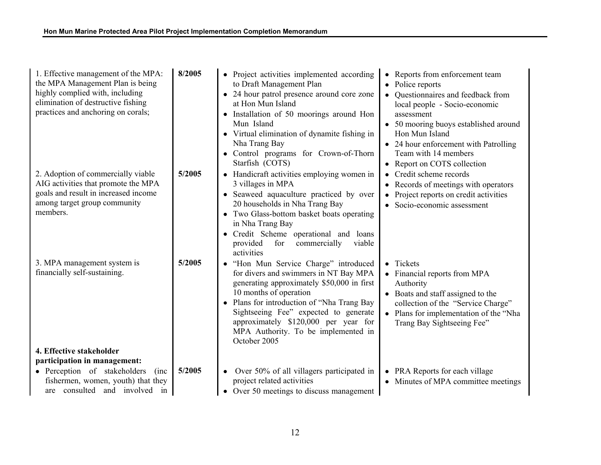| 1. Effective management of the MPA:<br>the MPA Management Plan is being<br>highly complied with, including<br>elimination of destructive fishing<br>practices and anchoring on corals; | 8/2005 | • Project activities implemented according<br>to Draft Management Plan<br>• 24 hour patrol presence around core zone<br>at Hon Mun Island<br>• Installation of 50 moorings around Hon<br>Mun Island<br>• Virtual elimination of dynamite fishing in<br>Nha Trang Bay<br>Control programs for Crown-of-Thorn<br>$\bullet$<br>Starfish (COTS)             | • Reports from enforcement team<br>Police reports<br>Questionnaires and feedback from<br>local people - Socio-economic<br>assessment<br>• 50 mooring buoys established around<br>Hon Mun Island<br>• 24 hour enforcement with Patrolling<br>Team with 14 members<br>• Report on COTS collection |
|----------------------------------------------------------------------------------------------------------------------------------------------------------------------------------------|--------|---------------------------------------------------------------------------------------------------------------------------------------------------------------------------------------------------------------------------------------------------------------------------------------------------------------------------------------------------------|-------------------------------------------------------------------------------------------------------------------------------------------------------------------------------------------------------------------------------------------------------------------------------------------------|
| 2. Adoption of commercially viable<br>AIG activities that promote the MPA<br>goals and result in increased income<br>among target group community<br>members.                          | 5/2005 | • Handicraft activities employing women in<br>3 villages in MPA<br>• Seaweed aquaculture practiced by over<br>20 households in Nha Trang Bay<br>• Two Glass-bottom basket boats operating<br>in Nha Trang Bay<br>Credit Scheme operational and loans<br>provided<br>viable<br>for<br>commercially<br>activities                                         | Credit scheme records<br>$\bullet$<br>Records of meetings with operators<br>Project reports on credit activities<br>$\bullet$<br>Socio-economic assessment<br>$\bullet$                                                                                                                         |
| 3. MPA management system is<br>financially self-sustaining.                                                                                                                            | 5/2005 | · "Hon Mun Service Charge" introduced<br>for divers and swimmers in NT Bay MPA<br>generating approximately \$50,000 in first<br>10 months of operation<br>Plans for introduction of "Nha Trang Bay<br>$\bullet$<br>Sightseeing Fee" expected to generate<br>approximately \$120,000 per year for<br>MPA Authority. To be implemented in<br>October 2005 | • Tickets<br>• Financial reports from MPA<br>Authority<br>• Boats and staff assigned to the<br>collection of the "Service Charge"<br>• Plans for implementation of the "Nha<br>Trang Bay Sightseeing Fee"                                                                                       |
| 4. Effective stakeholder<br>participation in management:                                                                                                                               |        |                                                                                                                                                                                                                                                                                                                                                         |                                                                                                                                                                                                                                                                                                 |
| • Perception of stakeholders<br>(inc)<br>fishermen, women, youth) that they<br>are consulted and involved in                                                                           | 5/2005 | • Over 50% of all villagers participated in<br>project related activities<br>• Over 50 meetings to discuss management                                                                                                                                                                                                                                   | PRA Reports for each village<br>$\bullet$<br>• Minutes of MPA committee meetings                                                                                                                                                                                                                |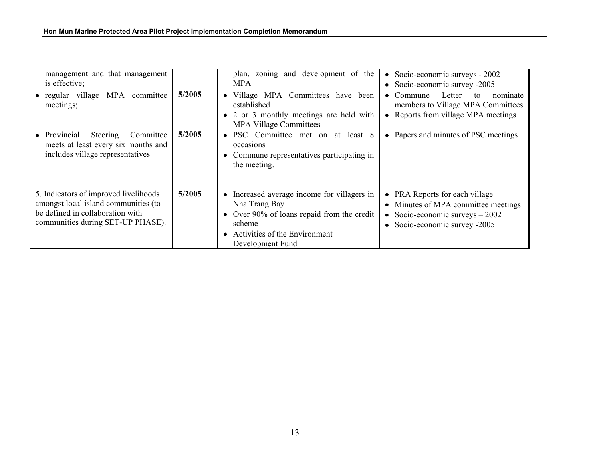| management and that management<br>is effective;                                                                                                        |        | plan, zoning and development of the<br><b>MPA</b>                                                                                                                                      | • Socio-economic surveys $-2002$<br>• Socio-economic survey -2005                                                                        |
|--------------------------------------------------------------------------------------------------------------------------------------------------------|--------|----------------------------------------------------------------------------------------------------------------------------------------------------------------------------------------|------------------------------------------------------------------------------------------------------------------------------------------|
| • regular village MPA committee<br>meetings;                                                                                                           | 5/2005 | • Village MPA Committees have been<br>established<br>• 2 or 3 monthly meetings are held with<br><b>MPA Village Committees</b>                                                          | Letter<br>Commune<br>nominate<br>to<br>$\bullet$<br>members to Village MPA Committees<br>• Reports from village MPA meetings             |
| • Provincial<br>Steering<br>Committee<br>meets at least every six months and<br>includes village representatives                                       | 5/2005 | • PSC Committee met on at least 8<br>occasions<br>• Commune representatives participating in<br>the meeting.                                                                           | • Papers and minutes of PSC meetings                                                                                                     |
| 5. Indicators of improved livelihoods<br>amongst local island communities (to<br>be defined in collaboration with<br>communities during SET-UP PHASE). | 5/2005 | • Increased average income for villagers in<br>Nha Trang Bay<br>• Over 90% of loans repaid from the credit<br>scheme<br>Activities of the Environment<br>$\bullet$<br>Development Fund | • PRA Reports for each village<br>• Minutes of MPA committee meetings<br>Socio-economic surveys $-2002$<br>• Socio-economic survey -2005 |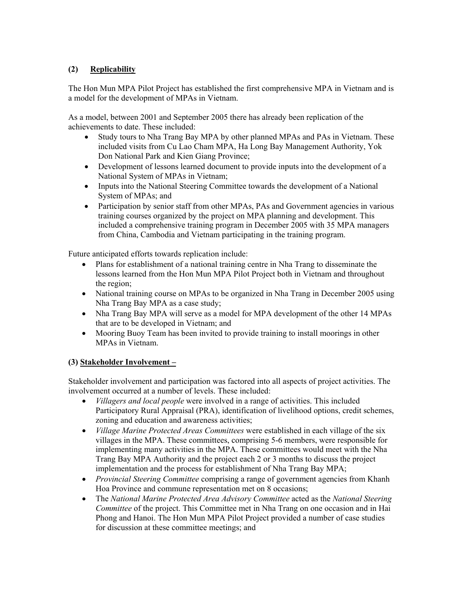# **(2) Replicability**

The Hon Mun MPA Pilot Project has established the first comprehensive MPA in Vietnam and is a model for the development of MPAs in Vietnam.

As a model, between 2001 and September 2005 there has already been replication of the achievements to date. These included:

- Study tours to Nha Trang Bay MPA by other planned MPAs and PAs in Vietnam. These included visits from Cu Lao Cham MPA, Ha Long Bay Management Authority, Yok Don National Park and Kien Giang Province;
- Development of lessons learned document to provide inputs into the development of a National System of MPAs in Vietnam;
- Inputs into the National Steering Committee towards the development of a National System of MPAs; and
- Participation by senior staff from other MPAs, PAs and Government agencies in various training courses organized by the project on MPA planning and development. This included a comprehensive training program in December 2005 with 35 MPA managers from China, Cambodia and Vietnam participating in the training program.

Future anticipated efforts towards replication include:

- Plans for establishment of a national training centre in Nha Trang to disseminate the lessons learned from the Hon Mun MPA Pilot Project both in Vietnam and throughout the region;
- National training course on MPAs to be organized in Nha Trang in December 2005 using Nha Trang Bay MPA as a case study;
- Nha Trang Bay MPA will serve as a model for MPA development of the other 14 MPAs that are to be developed in Vietnam; and
- Mooring Buoy Team has been invited to provide training to install moorings in other MPAs in Vietnam.

# **(3) Stakeholder Involvement –**

Stakeholder involvement and participation was factored into all aspects of project activities. The involvement occurred at a number of levels. These included:

- *Villagers and local people* were involved in a range of activities. This included Participatory Rural Appraisal (PRA), identification of livelihood options, credit schemes, zoning and education and awareness activities;
- *Village Marine Protected Areas Committees* were established in each village of the six villages in the MPA. These committees, comprising 5-6 members, were responsible for implementing many activities in the MPA. These committees would meet with the Nha Trang Bay MPA Authority and the project each 2 or 3 months to discuss the project implementation and the process for establishment of Nha Trang Bay MPA;
- *Provincial Steering Committee* comprising a range of government agencies from Khanh Hoa Province and commune representation met on 8 occasions;
- The *National Marine Protected Area Advisory Committee* acted as the *National Steering Committee* of the project. This Committee met in Nha Trang on one occasion and in Hai Phong and Hanoi. The Hon Mun MPA Pilot Project provided a number of case studies for discussion at these committee meetings; and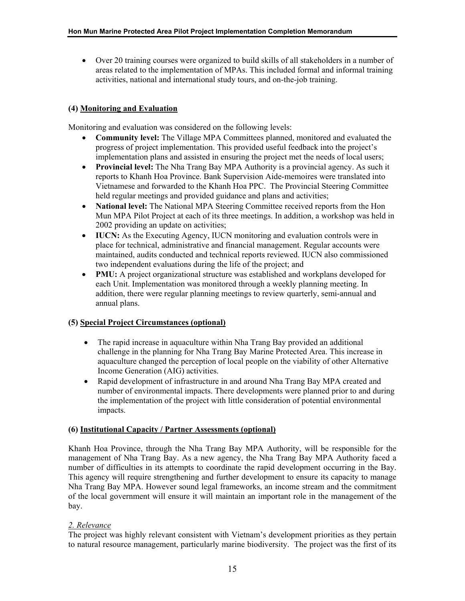• Over 20 training courses were organized to build skills of all stakeholders in a number of areas related to the implementation of MPAs. This included formal and informal training activities, national and international study tours, and on-the-job training.

# **(4) Monitoring and Evaluation**

Monitoring and evaluation was considered on the following levels:

- **Community level:** The Village MPA Committees planned, monitored and evaluated the progress of project implementation. This provided useful feedback into the project's implementation plans and assisted in ensuring the project met the needs of local users;
- **Provincial level:** The Nha Trang Bay MPA Authority is a provincial agency. As such it reports to Khanh Hoa Province. Bank Supervision Aide-memoires were translated into Vietnamese and forwarded to the Khanh Hoa PPC. The Provincial Steering Committee held regular meetings and provided guidance and plans and activities;
- **National level:** The National MPA Steering Committee received reports from the Hon Mun MPA Pilot Project at each of its three meetings. In addition, a workshop was held in 2002 providing an update on activities;
- **IUCN:** As the Executing Agency, IUCN monitoring and evaluation controls were in place for technical, administrative and financial management. Regular accounts were maintained, audits conducted and technical reports reviewed. IUCN also commissioned two independent evaluations during the life of the project; and
- **PMU:** A project organizational structure was established and workplans developed for each Unit. Implementation was monitored through a weekly planning meeting. In addition, there were regular planning meetings to review quarterly, semi-annual and annual plans.

#### **(5) Special Project Circumstances (optional)**

- The rapid increase in aquaculture within Nha Trang Bay provided an additional challenge in the planning for Nha Trang Bay Marine Protected Area. This increase in aquaculture changed the perception of local people on the viability of other Alternative Income Generation (AIG) activities.
- Rapid development of infrastructure in and around Nha Trang Bay MPA created and number of environmental impacts. There developments were planned prior to and during the implementation of the project with little consideration of potential environmental impacts.

#### **(6) Institutional Capacity / Partner Assessments (optional)**

Khanh Hoa Province, through the Nha Trang Bay MPA Authority, will be responsible for the management of Nha Trang Bay. As a new agency, the Nha Trang Bay MPA Authority faced a number of difficulties in its attempts to coordinate the rapid development occurring in the Bay. This agency will require strengthening and further development to ensure its capacity to manage Nha Trang Bay MPA. However sound legal frameworks, an income stream and the commitment of the local government will ensure it will maintain an important role in the management of the bay.

# *2. Relevance*

The project was highly relevant consistent with Vietnam's development priorities as they pertain to natural resource management, particularly marine biodiversity. The project was the first of its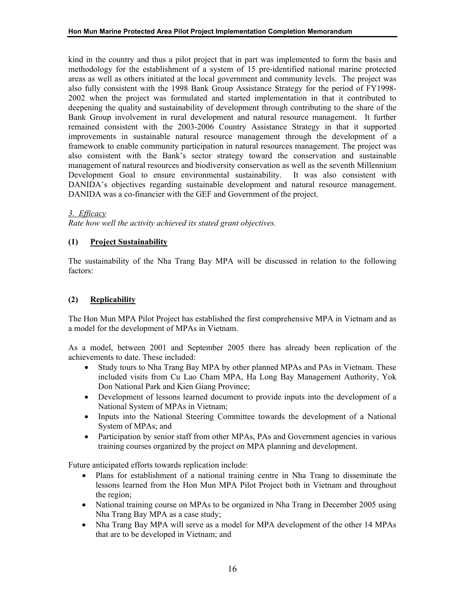kind in the country and thus a pilot project that in part was implemented to form the basis and methodology for the establishment of a system of 15 pre-identified national marine protected areas as well as others initiated at the local government and community levels. The project was also fully consistent with the 1998 Bank Group Assistance Strategy for the period of FY1998- 2002 when the project was formulated and started implementation in that it contributed to deepening the quality and sustainability of development through contributing to the share of the Bank Group involvement in rural development and natural resource management. It further remained consistent with the 2003-2006 Country Assistance Strategy in that it supported improvements in sustainable natural resource management through the development of a framework to enable community participation in natural resources management. The project was also consistent with the Bank's sector strategy toward the conservation and sustainable management of natural resources and biodiversity conservation as well as the seventh Millennium Development Goal to ensure environmental sustainability. It was also consistent with DANIDA's objectives regarding sustainable development and natural resource management. DANIDA was a co-financier with the GEF and Government of the project.

#### *3. Efficacy*

*Rate how well the activity achieved its stated grant objectives.*

# **(1) Project Sustainability**

The sustainability of the Nha Trang Bay MPA will be discussed in relation to the following factors:

# **(2) Replicability**

The Hon Mun MPA Pilot Project has established the first comprehensive MPA in Vietnam and as a model for the development of MPAs in Vietnam.

As a model, between 2001 and September 2005 there has already been replication of the achievements to date. These included:

- Study tours to Nha Trang Bay MPA by other planned MPAs and PAs in Vietnam. These included visits from Cu Lao Cham MPA, Ha Long Bay Management Authority, Yok Don National Park and Kien Giang Province;
- Development of lessons learned document to provide inputs into the development of a National System of MPAs in Vietnam;
- Inputs into the National Steering Committee towards the development of a National System of MPAs; and
- Participation by senior staff from other MPAs, PAs and Government agencies in various training courses organized by the project on MPA planning and development.

Future anticipated efforts towards replication include:

- Plans for establishment of a national training centre in Nha Trang to disseminate the lessons learned from the Hon Mun MPA Pilot Project both in Vietnam and throughout the region;
- National training course on MPAs to be organized in Nha Trang in December 2005 using Nha Trang Bay MPA as a case study;
- Nha Trang Bay MPA will serve as a model for MPA development of the other 14 MPAs that are to be developed in Vietnam; and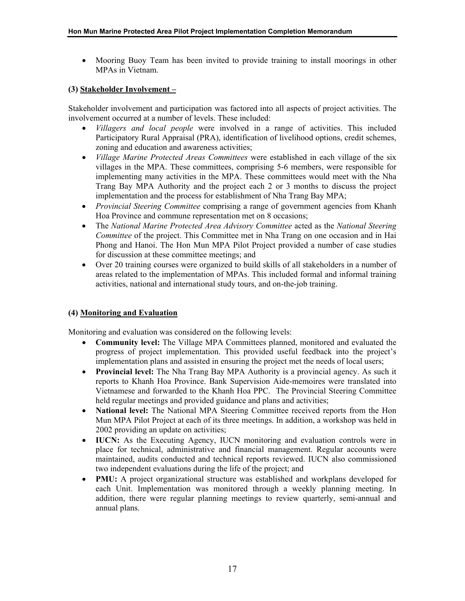• Mooring Buoy Team has been invited to provide training to install moorings in other MPAs in Vietnam.

## **(3) Stakeholder Involvement –**

Stakeholder involvement and participation was factored into all aspects of project activities. The involvement occurred at a number of levels. These included:

- *Villagers and local people* were involved in a range of activities. This included Participatory Rural Appraisal (PRA), identification of livelihood options, credit schemes, zoning and education and awareness activities;
- *Village Marine Protected Areas Committees* were established in each village of the six villages in the MPA. These committees, comprising 5-6 members, were responsible for implementing many activities in the MPA. These committees would meet with the Nha Trang Bay MPA Authority and the project each 2 or 3 months to discuss the project implementation and the process for establishment of Nha Trang Bay MPA;
- *Provincial Steering Committee* comprising a range of government agencies from Khanh Hoa Province and commune representation met on 8 occasions;
- The *National Marine Protected Area Advisory Committee* acted as the *National Steering Committee* of the project. This Committee met in Nha Trang on one occasion and in Hai Phong and Hanoi. The Hon Mun MPA Pilot Project provided a number of case studies for discussion at these committee meetings; and
- Over 20 training courses were organized to build skills of all stakeholders in a number of areas related to the implementation of MPAs. This included formal and informal training activities, national and international study tours, and on-the-job training.

# **(4) Monitoring and Evaluation**

Monitoring and evaluation was considered on the following levels:

- **Community level:** The Village MPA Committees planned, monitored and evaluated the progress of project implementation. This provided useful feedback into the project's implementation plans and assisted in ensuring the project met the needs of local users;
- **Provincial level:** The Nha Trang Bay MPA Authority is a provincial agency. As such it reports to Khanh Hoa Province. Bank Supervision Aide-memoires were translated into Vietnamese and forwarded to the Khanh Hoa PPC. The Provincial Steering Committee held regular meetings and provided guidance and plans and activities;
- **National level:** The National MPA Steering Committee received reports from the Hon Mun MPA Pilot Project at each of its three meetings. In addition, a workshop was held in 2002 providing an update on activities;
- **IUCN:** As the Executing Agency, IUCN monitoring and evaluation controls were in place for technical, administrative and financial management. Regular accounts were maintained, audits conducted and technical reports reviewed. IUCN also commissioned two independent evaluations during the life of the project; and
- **PMU:** A project organizational structure was established and workplans developed for each Unit. Implementation was monitored through a weekly planning meeting. In addition, there were regular planning meetings to review quarterly, semi-annual and annual plans.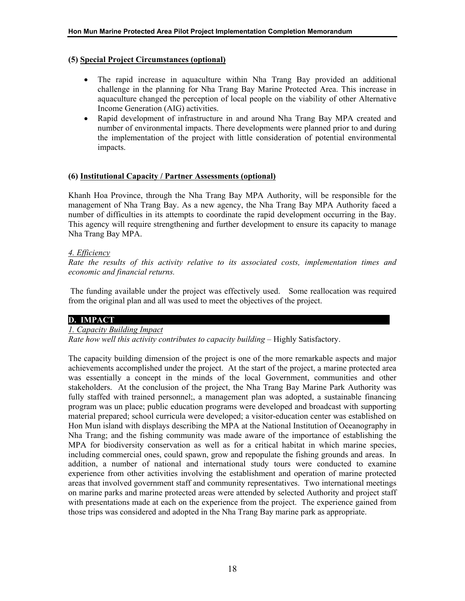#### **(5) Special Project Circumstances (optional)**

- The rapid increase in aquaculture within Nha Trang Bay provided an additional challenge in the planning for Nha Trang Bay Marine Protected Area. This increase in aquaculture changed the perception of local people on the viability of other Alternative Income Generation (AIG) activities.
- Rapid development of infrastructure in and around Nha Trang Bay MPA created and number of environmental impacts. There developments were planned prior to and during the implementation of the project with little consideration of potential environmental impacts.

#### **(6) Institutional Capacity / Partner Assessments (optional)**

Khanh Hoa Province, through the Nha Trang Bay MPA Authority, will be responsible for the management of Nha Trang Bay. As a new agency, the Nha Trang Bay MPA Authority faced a number of difficulties in its attempts to coordinate the rapid development occurring in the Bay. This agency will require strengthening and further development to ensure its capacity to manage Nha Trang Bay MPA.

#### *4. Efficiency*

*Rate the results of this activity relative to its associated costs, implementation times and economic and financial returns.*

The funding available under the project was effectively used. Some reallocation was required from the original plan and all was used to meet the objectives of the project.

#### **D. IMPACT**

#### *1. Capacity Building Impact*

*Rate how well this activity contributes to capacity building – Highly Satisfactory.* 

The capacity building dimension of the project is one of the more remarkable aspects and major achievements accomplished under the project. At the start of the project, a marine protected area was essentially a concept in the minds of the local Government, communities and other stakeholders. At the conclusion of the project, the Nha Trang Bay Marine Park Authority was fully staffed with trained personnel;, a management plan was adopted, a sustainable financing program was un place; public education programs were developed and broadcast with supporting material prepared; school curricula were developed; a visitor-education center was established on Hon Mun island with displays describing the MPA at the National Institution of Oceanography in Nha Trang; and the fishing community was made aware of the importance of establishing the MPA for biodiversity conservation as well as for a critical habitat in which marine species, including commercial ones, could spawn, grow and repopulate the fishing grounds and areas. In addition, a number of national and international study tours were conducted to examine experience from other activities involving the establishment and operation of marine protected areas that involved government staff and community representatives. Two international meetings on marine parks and marine protected areas were attended by selected Authority and project staff with presentations made at each on the experience from the project. The experience gained from those trips was considered and adopted in the Nha Trang Bay marine park as appropriate.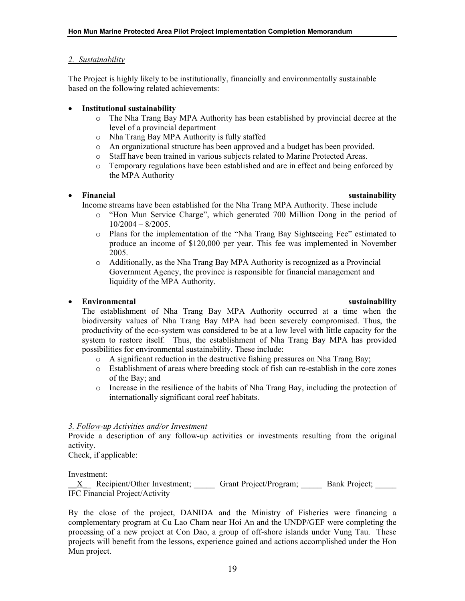### *2. Sustainability*

The Project is highly likely to be institutionally, financially and environmentally sustainable based on the following related achievements:

## • **Institutional sustainability**

- o The Nha Trang Bay MPA Authority has been established by provincial decree at the level of a provincial department
- o Nha Trang Bay MPA Authority is fully staffed
- o An organizational structure has been approved and a budget has been provided.
- o Staff have been trained in various subjects related to Marine Protected Areas.
- o Temporary regulations have been established and are in effect and being enforced by the MPA Authority

#### • **Financial sustainability**

Income streams have been established for the Nha Trang MPA Authority. These include

- o "Hon Mun Service Charge", which generated 700 Million Dong in the period of  $10/2004 - 8/2005$ .
- o Plans for the implementation of the "Nha Trang Bay Sightseeing Fee" estimated to produce an income of \$120,000 per year. This fee was implemented in November 2005.
- o Additionally, as the Nha Trang Bay MPA Authority is recognized as a Provincial Government Agency, the province is responsible for financial management and liquidity of the MPA Authority.

# • **Environmental sustainability**

The establishment of Nha Trang Bay MPA Authority occurred at a time when the biodiversity values of Nha Trang Bay MPA had been severely compromised. Thus, the productivity of the eco-system was considered to be at a low level with little capacity for the system to restore itself. Thus, the establishment of Nha Trang Bay MPA has provided possibilities for environmental sustainability. These include:

- o A significant reduction in the destructive fishing pressures on Nha Trang Bay;
- o Establishment of areas where breeding stock of fish can re-establish in the core zones of the Bay; and
- o Increase in the resilience of the habits of Nha Trang Bay, including the protection of internationally significant coral reef habitats.

#### *3. Follow-up Activities and/or Investment*

Provide a description of any follow-up activities or investments resulting from the original activity.

Check, if applicable:

Investment:

X Recipient/Other Investment; Grant Project/Program; Bank Project; IFC Financial Project/Activity

By the close of the project, DANIDA and the Ministry of Fisheries were financing a complementary program at Cu Lao Cham near Hoi An and the UNDP/GEF were completing the processing of a new project at Con Dao, a group of off-shore islands under Vung Tau. These projects will benefit from the lessons, experience gained and actions accomplished under the Hon Mun project.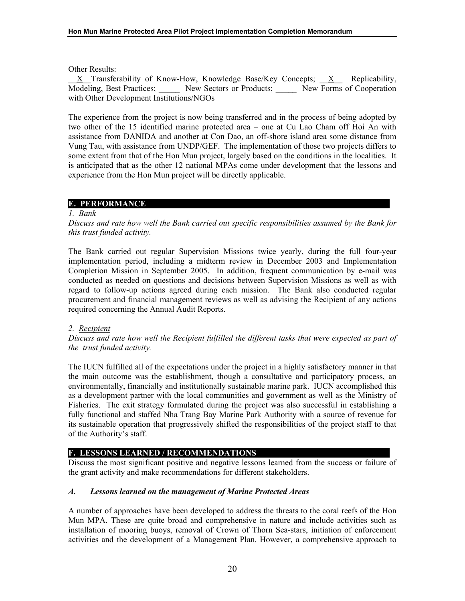Other Results:

\_\_X\_\_Transferability of Know-How, Knowledge Base/Key Concepts; \_\_X\_\_ Replicability, Modeling, Best Practices; Mew Sectors or Products; New Forms of Cooperation with Other Development Institutions/NGOs

The experience from the project is now being transferred and in the process of being adopted by two other of the 15 identified marine protected area – one at Cu Lao Cham off Hoi An with assistance from DANIDA and another at Con Dao, an off-shore island area some distance from Vung Tau, with assistance from UNDP/GEF. The implementation of those two projects differs to some extent from that of the Hon Mun project, largely based on the conditions in the localities. It is anticipated that as the other 12 national MPAs come under development that the lessons and experience from the Hon Mun project will be directly applicable.

# **E. PERFORMANCE**

#### *1. Bank*

*Discuss and rate how well the Bank carried out specific responsibilities assumed by the Bank for this trust funded activity.*

The Bank carried out regular Supervision Missions twice yearly, during the full four-year implementation period, including a midterm review in December 2003 and Implementation Completion Mission in September 2005. In addition, frequent communication by e-mail was conducted as needed on questions and decisions between Supervision Missions as well as with regard to follow-up actions agreed during each mission. The Bank also conducted regular procurement and financial management reviews as well as advising the Recipient of any actions required concerning the Annual Audit Reports.

#### *2. Recipient*

*Discuss and rate how well the Recipient fulfilled the different tasks that were expected as part of the trust funded activity.*

The IUCN fulfilled all of the expectations under the project in a highly satisfactory manner in that the main outcome was the establishment, though a consultative and participatory process, an environmentally, financially and institutionally sustainable marine park. IUCN accomplished this as a development partner with the local communities and government as well as the Ministry of Fisheries. The exit strategy formulated during the project was also successful in establishing a fully functional and staffed Nha Trang Bay Marine Park Authority with a source of revenue for its sustainable operation that progressively shifted the responsibilities of the project staff to that of the Authority's staff.

#### **F. LESSONS LEARNED / RECOMMENDATIONS**

Discuss the most significant positive and negative lessons learned from the success or failure of the grant activity and make recommendations for different stakeholders.

#### *A. Lessons learned on the management of Marine Protected Areas*

A number of approaches have been developed to address the threats to the coral reefs of the Hon Mun MPA. These are quite broad and comprehensive in nature and include activities such as installation of mooring buoys, removal of Crown of Thorn Sea-stars, initiation of enforcement activities and the development of a Management Plan. However, a comprehensive approach to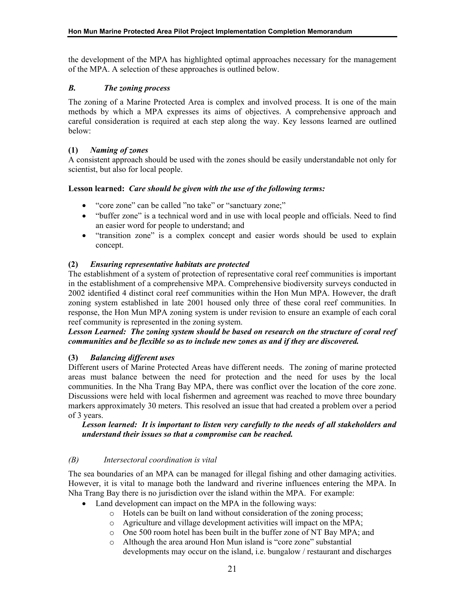the development of the MPA has highlighted optimal approaches necessary for the management of the MPA. A selection of these approaches is outlined below.

# *B. The zoning process*

The zoning of a Marine Protected Area is complex and involved process. It is one of the main methods by which a MPA expresses its aims of objectives. A comprehensive approach and careful consideration is required at each step along the way. Key lessons learned are outlined below:

# **(1)** *Naming of zones*

A consistent approach should be used with the zones should be easily understandable not only for scientist, but also for local people.

# **Lesson learned:** *Care should be given with the use of the following terms:*

- "core zone" can be called "no take" or "sanctuary zone;"
- "buffer zone" is a technical word and in use with local people and officials. Need to find an easier word for people to understand; and
- "transition zone" is a complex concept and easier words should be used to explain concept.

# **(2)** *Ensuring representative habitats are protected*

The establishment of a system of protection of representative coral reef communities is important in the establishment of a comprehensive MPA. Comprehensive biodiversity surveys conducted in 2002 identified 4 distinct coral reef communities within the Hon Mun MPA. However, the draft zoning system established in late 2001 housed only three of these coral reef communities. In response, the Hon Mun MPA zoning system is under revision to ensure an example of each coral reef community is represented in the zoning system.

# *Lesson Learned: The zoning system should be based on research on the structure of coral reef communities and be flexible so as to include new zones as and if they are discovered.*

# **(3)** *Balancing different uses*

Different users of Marine Protected Areas have different needs. The zoning of marine protected areas must balance between the need for protection and the need for uses by the local communities. In the Nha Trang Bay MPA, there was conflict over the location of the core zone. Discussions were held with local fishermen and agreement was reached to move three boundary markers approximately 30 meters. This resolved an issue that had created a problem over a period of 3 years.

#### *Lesson learned: It is important to listen very carefully to the needs of all stakeholders and understand their issues so that a compromise can be reached.*

# *(B) Intersectoral coordination is vital*

The sea boundaries of an MPA can be managed for illegal fishing and other damaging activities. However, it is vital to manage both the landward and riverine influences entering the MPA. In Nha Trang Bay there is no jurisdiction over the island within the MPA. For example:

- Land development can impact on the MPA in the following ways:
	- o Hotels can be built on land without consideration of the zoning process;
	- o Agriculture and village development activities will impact on the MPA;
	- o One 500 room hotel has been built in the buffer zone of NT Bay MPA; and
	- o Although the area around Hon Mun island is "core zone" substantial developments may occur on the island, i.e. bungalow / restaurant and discharges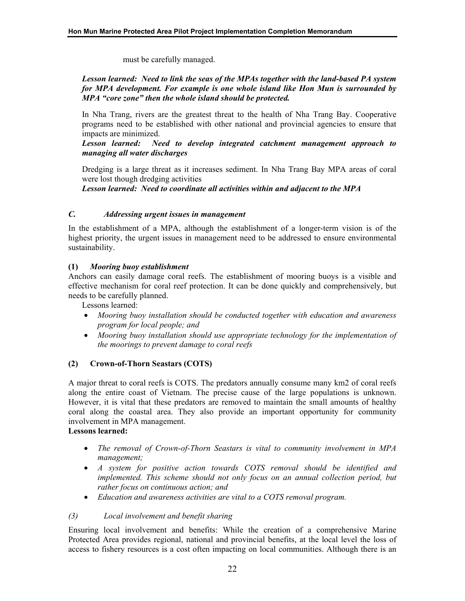must be carefully managed.

# *Lesson learned: Need to link the seas of the MPAs together with the land-based PA system for MPA development. For example is one whole island like Hon Mun is surrounded by MPA "core zone" then the whole island should be protected.*

In Nha Trang, rivers are the greatest threat to the health of Nha Trang Bay. Cooperative programs need to be established with other national and provincial agencies to ensure that impacts are minimized.

*Lesson learned: Need to develop integrated catchment management approach to managing all water discharges* 

Dredging is a large threat as it increases sediment. In Nha Trang Bay MPA areas of coral were lost though dredging activities

*Lesson learned: Need to coordinate all activities within and adjacent to the MPA*

#### *C. Addressing urgent issues in management*

In the establishment of a MPA, although the establishment of a longer-term vision is of the highest priority, the urgent issues in management need to be addressed to ensure environmental sustainability.

# **(1)** *Mooring buoy establishment*

Anchors can easily damage coral reefs. The establishment of mooring buoys is a visible and effective mechanism for coral reef protection. It can be done quickly and comprehensively, but needs to be carefully planned.

Lessons learned:

- *Mooring buoy installation should be conducted together with education and awareness program for local people; and*
- *Mooring buoy installation should use appropriate technology for the implementation of the moorings to prevent damage to coral reefs*

# **(2) Crown-of-Thorn Seastars (COTS)**

A major threat to coral reefs is COTS. The predators annually consume many km2 of coral reefs along the entire coast of Vietnam. The precise cause of the large populations is unknown. However, it is vital that these predators are removed to maintain the small amounts of healthy coral along the coastal area. They also provide an important opportunity for community involvement in MPA management.

## **Lessons learned:**

- *The removal of Crown-of-Thorn Seastars is vital to community involvement in MPA management;*
- *A system for positive action towards COTS removal should be identified and*  implemented. This scheme should not only focus on an annual collection period, but *rather focus on continuous action; and*
- *Education and awareness activities are vital to a COTS removal program.*

# *(3) Local involvement and benefit sharing*

Ensuring local involvement and benefits: While the creation of a comprehensive Marine Protected Area provides regional, national and provincial benefits, at the local level the loss of access to fishery resources is a cost often impacting on local communities. Although there is an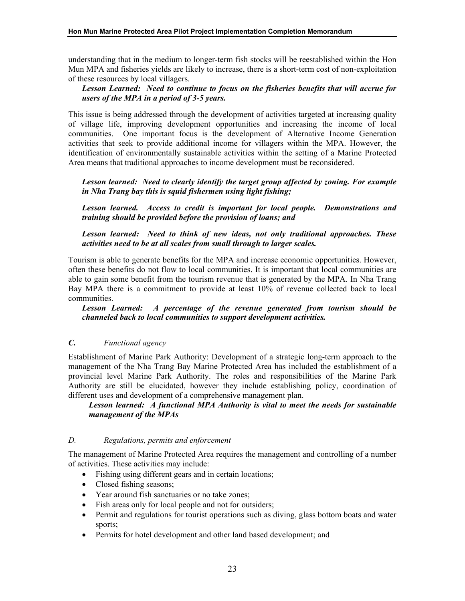understanding that in the medium to longer-term fish stocks will be reestablished within the Hon Mun MPA and fisheries yields are likely to increase, there is a short-term cost of non-exploitation of these resources by local villagers.

# *Lesson Learned: Need to continue to focus on the fisheries benefits that will accrue for users of the MPA in a period of 3-5 years.*

This issue is being addressed through the development of activities targeted at increasing quality of village life, improving development opportunities and increasing the income of local communities. One important focus is the development of Alternative Income Generation activities that seek to provide additional income for villagers within the MPA. However, the identification of environmentally sustainable activities within the setting of a Marine Protected Area means that traditional approaches to income development must be reconsidered.

Lesson learned: Need to clearly identify the target group affected by zoning. For example *in Nha Trang bay this is squid fishermen using light fishing;* 

*Lesson learned. Access to credit is important for local people. Demonstrations and training should be provided before the provision of loans; and* 

*Lesson learned: Need to think of new ideas, not only traditional approaches. These activities need to be at all scales from small through to larger scales.* 

Tourism is able to generate benefits for the MPA and increase economic opportunities. However, often these benefits do not flow to local communities. It is important that local communities are able to gain some benefit from the tourism revenue that is generated by the MPA. In Nha Trang Bay MPA there is a commitment to provide at least 10% of revenue collected back to local communities.

*Lesson Learned: A percentage of the revenue generated from tourism should be channeled back to local communities to support development activities.* 

# *C. Functional agency*

Establishment of Marine Park Authority: Development of a strategic long-term approach to the management of the Nha Trang Bay Marine Protected Area has included the establishment of a provincial level Marine Park Authority. The roles and responsibilities of the Marine Park Authority are still be elucidated, however they include establishing policy, coordination of different uses and development of a comprehensive management plan.

#### *Lesson learned: A functional MPA Authority is vital to meet the needs for sustainable management of the MPAs*

### *D. Regulations, permits and enforcement*

The management of Marine Protected Area requires the management and controlling of a number of activities. These activities may include:

- Fishing using different gears and in certain locations;
- Closed fishing seasons;
- Year around fish sanctuaries or no take zones;
- Fish areas only for local people and not for outsiders;
- Permit and regulations for tourist operations such as diving, glass bottom boats and water sports;
- Permits for hotel development and other land based development; and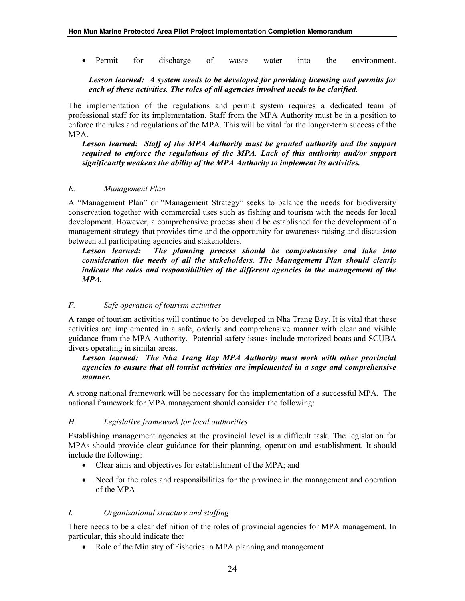• Permit for discharge of waste water into the environment.

## *Lesson learned: A system needs to be developed for providing licensing and permits for each of these activities. The roles of all agencies involved needs to be clarified.*

The implementation of the regulations and permit system requires a dedicated team of professional staff for its implementation. Staff from the MPA Authority must be in a position to enforce the rules and regulations of the MPA. This will be vital for the longer-term success of the MPA.

*Lesson learned: Staff of the MPA Authority must be granted authority and the support required to enforce the regulations of the MPA. Lack of this authority and/or support significantly weakens the ability of the MPA Authority to implement its activities.* 

# *E. Management Plan*

A "Management Plan" or "Management Strategy" seeks to balance the needs for biodiversity conservation together with commercial uses such as fishing and tourism with the needs for local development. However, a comprehensive process should be established for the development of a management strategy that provides time and the opportunity for awareness raising and discussion between all participating agencies and stakeholders.

*Lesson learned: The planning process should be comprehensive and take into consideration the needs of all the stakeholders. The Management Plan should clearly indicate the roles and responsibilities of the different agencies in the management of the MPA.* 

# *F. Safe operation of tourism activities*

A range of tourism activities will continue to be developed in Nha Trang Bay. It is vital that these activities are implemented in a safe, orderly and comprehensive manner with clear and visible guidance from the MPA Authority. Potential safety issues include motorized boats and SCUBA divers operating in similar areas.

*Lesson learned: The Nha Trang Bay MPA Authority must work with other provincial agencies to ensure that all tourist activities are implemented in a sage and comprehensive manner.* 

A strong national framework will be necessary for the implementation of a successful MPA. The national framework for MPA management should consider the following:

#### *H. Legislative framework for local authorities*

Establishing management agencies at the provincial level is a difficult task. The legislation for MPAs should provide clear guidance for their planning, operation and establishment. It should include the following:

- Clear aims and objectives for establishment of the MPA; and
- Need for the roles and responsibilities for the province in the management and operation of the MPA

#### *I. Organizational structure and staffing*

There needs to be a clear definition of the roles of provincial agencies for MPA management. In particular, this should indicate the:

• Role of the Ministry of Fisheries in MPA planning and management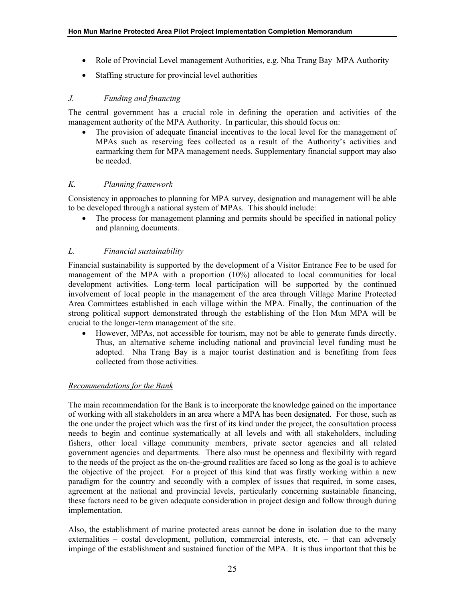- Role of Provincial Level management Authorities, e.g. Nha Trang Bay MPA Authority
- Staffing structure for provincial level authorities

## *J. Funding and financing*

The central government has a crucial role in defining the operation and activities of the management authority of the MPA Authority. In particular, this should focus on:

• The provision of adequate financial incentives to the local level for the management of MPAs such as reserving fees collected as a result of the Authority's activities and earmarking them for MPA management needs. Supplementary financial support may also be needed.

# *K. Planning framework*

Consistency in approaches to planning for MPA survey, designation and management will be able to be developed through a national system of MPAs. This should include:

• The process for management planning and permits should be specified in national policy and planning documents.

# *L. Financial sustainability*

Financial sustainability is supported by the development of a Visitor Entrance Fee to be used for management of the MPA with a proportion (10%) allocated to local communities for local development activities. Long-term local participation will be supported by the continued involvement of local people in the management of the area through Village Marine Protected Area Committees established in each village within the MPA. Finally, the continuation of the strong political support demonstrated through the establishing of the Hon Mun MPA will be crucial to the longer-term management of the site.

• However, MPAs, not accessible for tourism, may not be able to generate funds directly. Thus, an alternative scheme including national and provincial level funding must be adopted. Nha Trang Bay is a major tourist destination and is benefiting from fees collected from those activities.

#### *Recommendations for the Bank*

The main recommendation for the Bank is to incorporate the knowledge gained on the importance of working with all stakeholders in an area where a MPA has been designated. For those, such as the one under the project which was the first of its kind under the project, the consultation process needs to begin and continue systematically at all levels and with all stakeholders, including fishers, other local village community members, private sector agencies and all related government agencies and departments. There also must be openness and flexibility with regard to the needs of the project as the on-the-ground realities are faced so long as the goal is to achieve the objective of the project. For a project of this kind that was firstly working within a new paradigm for the country and secondly with a complex of issues that required, in some cases, agreement at the national and provincial levels, particularly concerning sustainable financing, these factors need to be given adequate consideration in project design and follow through during implementation.

Also, the establishment of marine protected areas cannot be done in isolation due to the many externalities – costal development, pollution, commercial interests, etc. – that can adversely impinge of the establishment and sustained function of the MPA. It is thus important that this be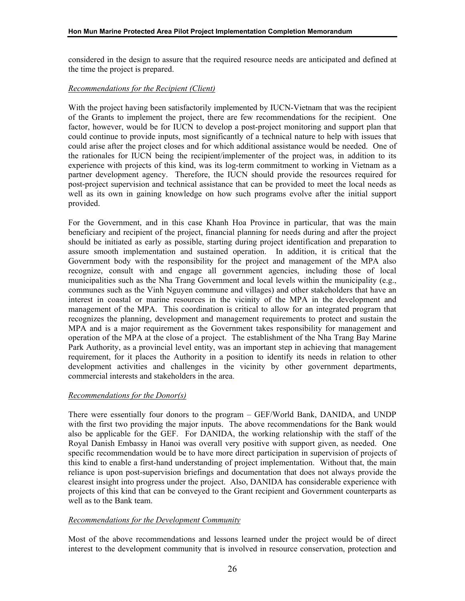considered in the design to assure that the required resource needs are anticipated and defined at the time the project is prepared.

## *Recommendations for the Recipient (Client)*

With the project having been satisfactorily implemented by IUCN-Vietnam that was the recipient of the Grants to implement the project, there are few recommendations for the recipient. One factor, however, would be for IUCN to develop a post-project monitoring and support plan that could continue to provide inputs, most significantly of a technical nature to help with issues that could arise after the project closes and for which additional assistance would be needed. One of the rationales for IUCN being the recipient/implementer of the project was, in addition to its experience with projects of this kind, was its log-term commitment to working in Vietnam as a partner development agency. Therefore, the IUCN should provide the resources required for post-project supervision and technical assistance that can be provided to meet the local needs as well as its own in gaining knowledge on how such programs evolve after the initial support provided.

For the Government, and in this case Khanh Hoa Province in particular, that was the main beneficiary and recipient of the project, financial planning for needs during and after the project should be initiated as early as possible, starting during project identification and preparation to assure smooth implementation and sustained operation. In addition, it is critical that the Government body with the responsibility for the project and management of the MPA also recognize, consult with and engage all government agencies, including those of local municipalities such as the Nha Trang Government and local levels within the municipality (e.g., communes such as the Vinh Nguyen commune and villages) and other stakeholders that have an interest in coastal or marine resources in the vicinity of the MPA in the development and management of the MPA. This coordination is critical to allow for an integrated program that recognizes the planning, development and management requirements to protect and sustain the MPA and is a major requirement as the Government takes responsibility for management and operation of the MPA at the close of a project. The establishment of the Nha Trang Bay Marine Park Authority, as a provincial level entity, was an important step in achieving that management requirement, for it places the Authority in a position to identify its needs in relation to other development activities and challenges in the vicinity by other government departments, commercial interests and stakeholders in the area.

#### *Recommendations for the Donor(s)*

There were essentially four donors to the program – GEF/World Bank, DANIDA, and UNDP with the first two providing the major inputs. The above recommendations for the Bank would also be applicable for the GEF. For DANIDA, the working relationship with the staff of the Royal Danish Embassy in Hanoi was overall very positive with support given, as needed. One specific recommendation would be to have more direct participation in supervision of projects of this kind to enable a first-hand understanding of project implementation. Without that, the main reliance is upon post-supervision briefings and documentation that does not always provide the clearest insight into progress under the project. Also, DANIDA has considerable experience with projects of this kind that can be conveyed to the Grant recipient and Government counterparts as well as to the Bank team.

#### *Recommendations for the Development Community*

Most of the above recommendations and lessons learned under the project would be of direct interest to the development community that is involved in resource conservation, protection and